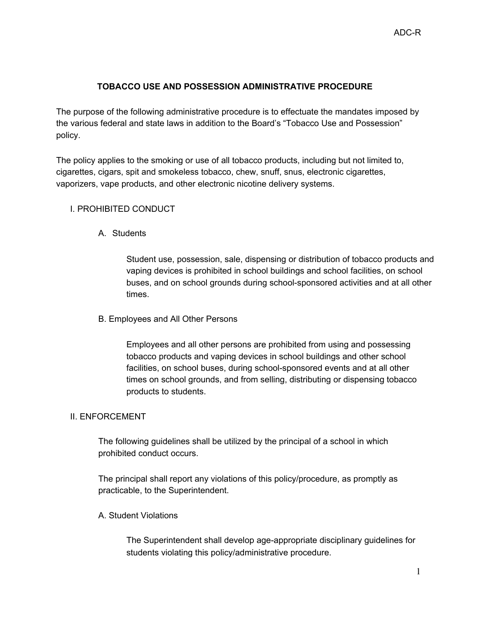## **TOBACCO USE AND POSSESSION ADMINISTRATIVE PROCEDURE**

The purpose of the following administrative procedure is to effectuate the mandates imposed by the various federal and state laws in addition to the Board's "Tobacco Use and Possession" policy.

The policy applies to the smoking or use of all tobacco products, including but not limited to, cigarettes, cigars, spit and smokeless tobacco, chew, snuff, snus, electronic cigarettes, vaporizers, vape products, and other electronic nicotine delivery systems.

## I. PROHIBITED CONDUCT

A. Students

Student use, possession, sale, dispensing or distribution of tobacco products and vaping devices is prohibited in school buildings and school facilities, on school buses, and on school grounds during school-sponsored activities and at all other times.

B. Employees and All Other Persons

Employees and all other persons are prohibited from using and possessing tobacco products and vaping devices in school buildings and other school facilities, on school buses, during school-sponsored events and at all other times on school grounds, and from selling, distributing or dispensing tobacco products to students.

## II. ENFORCEMENT

The following guidelines shall be utilized by the principal of a school in which prohibited conduct occurs.

The principal shall report any violations of this policy/procedure, as promptly as practicable, to the Superintendent.

A. Student Violations

The Superintendent shall develop age-appropriate disciplinary guidelines for students violating this policy/administrative procedure.